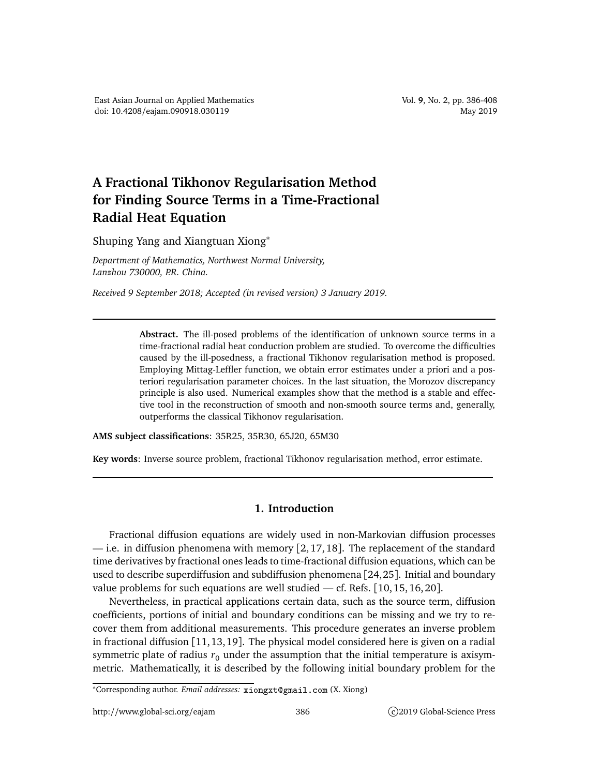## **A Fractional Tikhonov Regularisation Method for Finding Source Terms in a Time-Fractional Radial Heat Equation**

Shuping Yang and Xiangtuan Xiong<sup>∗</sup>

*Department of Mathematics, Northwest Normal University, Lanzhou 730000, P.R. China.*

*Received 9 September 2018; Accepted (in revised version) 3 January 2019.*

**Abstract.** The ill-posed problems of the identification of unknown source terms in a time-fractional radial heat conduction problem are studied. To overcome the difficulties caused by the ill-posedness, a fractional Tikhonov regularisation method is proposed. Employing Mittag-Leffler function, we obtain error estimates under a priori and a posteriori regularisation parameter choices. In the last situation, the Morozov discrepancy principle is also used. Numerical examples show that the method is a stable and effective tool in the reconstruction of smooth and non-smooth source terms and, generally, outperforms the classical Tikhonov regularisation.

**AMS subject classifications**: 35R25, 35R30, 65J20, 65M30

**Key words**: Inverse source problem, fractional Tikhonov regularisation method, error estimate.

## **1. Introduction**

Fractional diffusion equations are widely used in non-Markovian diffusion processes — i.e. in diffusion phenomena with memory [2, 17, 18]. The replacement of the standard time derivatives by fractional ones leads to time-fractional diffusion equations, which can be used to describe superdiffusion and subdiffusion phenomena [24,25]. Initial and boundary value problems for such equations are well studied — cf. Refs.  $[10, 15, 16, 20]$ .

Nevertheless, in practical applications certain data, such as the source term, diffusion coefficients, portions of initial and boundary conditions can be missing and we try to recover them from additional measurements. This procedure generates an inverse problem in fractional diffusion [11,13,19]. The physical model considered here is given on a radial symmetric plate of radius  $r_0$  under the assumption that the initial temperature is axisymmetric. Mathematically, it is described by the following initial boundary problem for the

<sup>∗</sup>Corresponding author. *Email addresses:* xiongxtgmail.
om (X. Xiong)